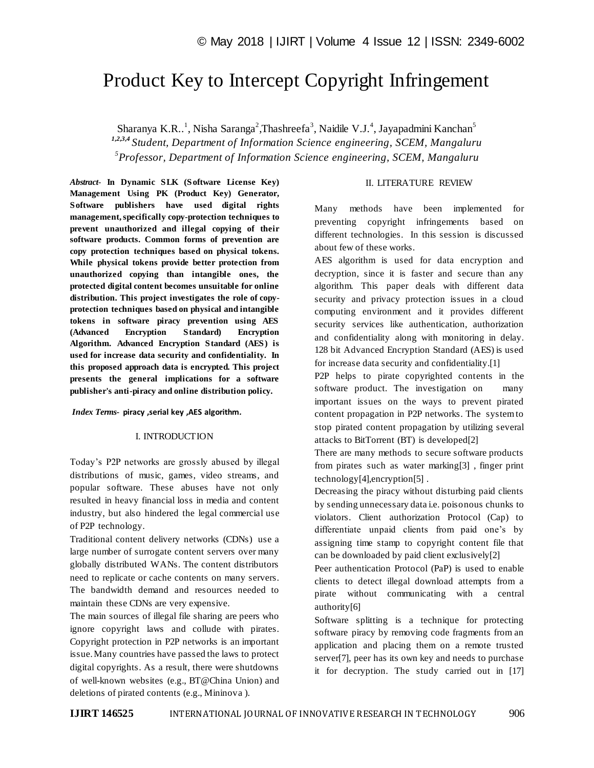# Product Key to Intercept Copyright Infringement

Sharanya K.R. $^{1}$ , Nisha Saranga<sup>2</sup>, Thashreefa<sup>3</sup>, Naidile V.J.<sup>4</sup>, Jayapadmini Kanchan<sup>5</sup> *1,2,3,4 Student, Department of Information Science engineering, SCEM, Mangaluru 5 Professor, Department of Information Science engineering, SCEM, Mangaluru*

*Abstract*- **In Dynamic SLK (Software License Key) Management Using PK (Product Key) Generator, Software publishers have used digital rights management, specifically copy-protection techniques to prevent unauthorized and illegal copying of their software products. Common forms of prevention are copy protection techniques based on physical tokens. While physical tokens provide better protection from unauthorized copying than intangible ones, the protected digital content becomes unsuitable for online distribution. This project investigates the role of copyprotection techniques based on physical and intangible tokens in software piracy prevention using AES (Advanced Encryption Standard) Encryption Algorithm. Advanced Encryption Standard (AES) is used for increase data security and confidentiality. In this proposed approach data is encrypted. This project presents the general implications for a software publisher's anti-piracy and online distribution policy.**

#### *Index Terms***- piracy ,serial key ,AES algorithm***.*

#### I. INTRODUCTION

Today's P2P networks are grossly abused by illegal distributions of music, games, video streams, and popular software. These abuses have not only resulted in heavy financial loss in media and content industry, but also hindered the legal commercial use of P2P technology.

Traditional content delivery networks (CDNs) use a large number of surrogate content servers over many globally distributed WANs. The content distributors need to replicate or cache contents on many servers. The bandwidth demand and resources needed to maintain these CDNs are very expensive.

The main sources of illegal file sharing are peers who ignore copyright laws and collude with pirates. Copyright protection in P2P networks is an important issue. Many countries have passed the laws to protect digital copyrights. As a result, there were shutdowns of well-known websites (e.g., BT@China Union) and deletions of pirated contents (e.g., Mininova ).

### II. LITERATURE REVIEW

Many methods have been implemented for preventing copyright infringements based on different technologies. In this session is discussed about few of these works.

AES algorithm is used for data encryption and decryption, since it is faster and secure than any algorithm. This paper deals with different data security and privacy protection issues in a cloud computing environment and it provides different security services like authentication, authorization and confidentiality along with monitoring in delay. 128 bit Advanced Encryption Standard (AES) is used for increase data security and confidentiality.[1]

P2P helps to pirate copyrighted contents in the software product. The investigation on many important issues on the ways to prevent pirated content propagation in P2P networks. The system to stop pirated content propagation by utilizing several attacks to BitTorrent (BT) is developed[2]

There are many methods to secure software products from pirates such as water marking[3] , finger print technology[4],encryption[5] .

Decreasing the piracy without disturbing paid clients by sending unnecessary data i.e. poisonous chunks to violators. Client authorization Protocol (Cap) to differentiate unpaid clients from paid one's by assigning time stamp to copyright content file that can be downloaded by paid client exclusively[2]

Peer authentication Protocol (PaP) is used to enable clients to detect illegal download attempts from a pirate without communicating with a central authority[6]

Software splitting is a technique for protecting software piracy by removing code fragments from an application and placing them on a remote trusted server[7], peer has its own key and needs to purchase it for decryption. The study carried out in [17]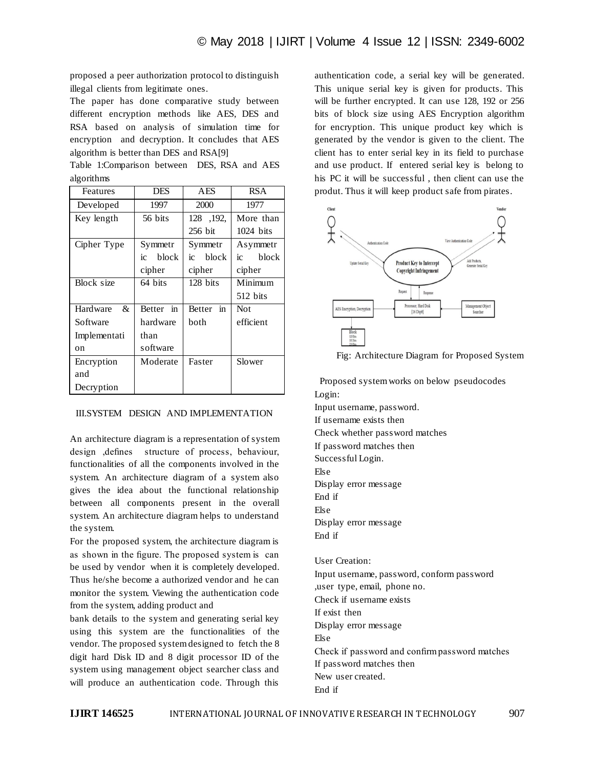proposed a peer authorization protocol to distinguish illegal clients from legitimate ones.

The paper has done comparative study between different encryption methods like AES, DES and RSA based on analysis of simulation time for encryption and decryption. It concludes that AES algorithm is better than DES and RSA[9]

|            | Table 1:Comparison between DES, RSA and AES |  |  |  |
|------------|---------------------------------------------|--|--|--|
| algorithms |                                             |  |  |  |

| Features      | <b>DES</b>  | <b>AES</b>          | <b>RSA</b>  |  |
|---------------|-------------|---------------------|-------------|--|
| Developed     | 1997        | 2000                | 1977        |  |
| Key length    | 56 bits     | 128, 192,           | More than   |  |
|               |             | 256 bit             | $1024$ bits |  |
| Cipher Type   | Symmetr     | Symmetr             | Asymmetr    |  |
|               | block<br>ic | block<br>ic         | block<br>iс |  |
|               | cipher      | cipher              | cipher      |  |
| Block size    | 64 bits     | 128 bits            | Minimum     |  |
|               |             |                     | 512 bits    |  |
| Hardware<br>& | Better in   | in<br><b>Better</b> | <b>Not</b>  |  |
| Software      | hardware    | both                | efficient   |  |
| Implementati  | than        |                     |             |  |
| on            | software    |                     |             |  |
| Encryption    | Moderate    | Faster              | Slower      |  |
| and           |             |                     |             |  |
| Decryption    |             |                     |             |  |

# III.SYSTEM DESIGN AND IMPLEMENTATION

An architecture diagram is a representation of system design ,defines structure of process, behaviour, functionalities of all the components involved in the system. An architecture diagram of a system also gives the idea about the functional relationship between all components present in the overall system. An architecture diagram helps to understand the system.

For the proposed system, the architecture diagram is as shown in the figure. The proposed system is can be used by vendor when it is completely developed. Thus he/she become a authorized vendor and he can monitor the system. Viewing the authentication code from the system, adding product and

bank details to the system and generating serial key using this system are the functionalities of the vendor. The proposed system designed to fetch the 8 digit hard Disk ID and 8 digit processor ID of the system using management object searcher class and will produce an authentication code. Through this

authentication code, a serial key will be generated. This unique serial key is given for products. This will be further encrypted. It can use 128, 192 or 256 bits of block size using AES Encryption algorithm for encryption. This unique product key which is generated by the vendor is given to the client. The client has to enter serial key in its field to purchase and use product. If entered serial key is belong to his PC it will be successful , then client can use the produt. Thus it will keep product safe from pirates.



Fig: Architecture Diagram for Proposed System

 Proposed system works on below pseudocodes Login: Input username, password. If username exists then Check whether password matches If password matches then Successful Login. Else Display error message End if Else Display error message End if User Creation:

Input username, password, conform password ,user type, email, phone no. Check if username exists If exist then Display error message Else Check if password and confirm password matches If password matches then New user created. End if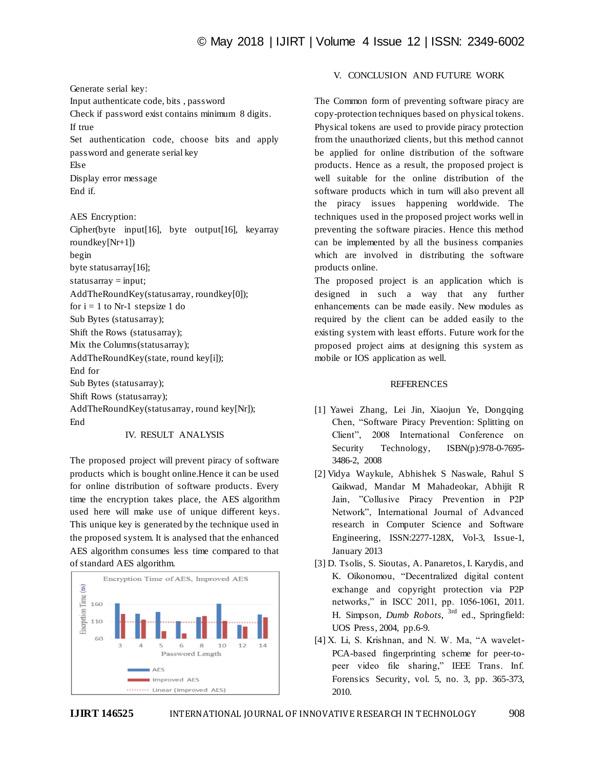# © May 2018 | IJIRT | Volume 4 Issue 12 | ISSN: 2349-6002

Generate serial key: Input authenticate code, bits , password Check if password exist contains minimum 8 digits. If true Set authentication code, choose bits and apply password and generate serial key Else Display error message

End if. AES Encryption: Cipher(byte input[16], byte output[16], keyarray roundkey[Nr+1])

begin byte statusarray[16];  $statusarray = input;$ AddTheRoundKey(statusarray, roundkey[0]); for  $i = 1$  to Nr-1 stepsize 1 do Sub Bytes (statusarray); Shift the Rows (statusarray); Mix the Columns(statusarray); AddTheRoundKey(state, round key[i]); End for Sub Bytes (statusarray); Shift Rows (statusarray); AddTheRoundKey(statusarray, round key[Nr]); End

IV. RESULT ANALYSIS

The proposed project will prevent piracy of software products which is bought online.Hence it can be used for online distribution of software products. Every time the encryption takes place, the AES algorithm used here will make use of unique different keys. This unique key is generated by the technique used in the proposed system. It is analysed that the enhanced AES algorithm consumes less time compared to that of standard AES algorithm.



# V. CONCLUSION AND FUTURE WORK

The Common form of preventing software piracy are copy-protection techniques based on physical tokens. Physical tokens are used to provide piracy protection from the unauthorized clients, but this method cannot be applied for online distribution of the software products. Hence as a result, the proposed project is well suitable for the online distribution of the software products which in turn will also prevent all the piracy issues happening worldwide. The techniques used in the proposed project works well in preventing the software piracies. Hence this method can be implemented by all the business companies which are involved in distributing the software products online.

The proposed project is an application which is designed in such a way that any further enhancements can be made easily. New modules as required by the client can be added easily to the existing system with least efforts. Future work for the proposed project aims at designing this system as mobile or IOS application as well.

#### **REFERENCES**

- [1] Yawei Zhang, Lei Jin, Xiaojun Ye, Dongqing Chen, "Software Piracy Prevention: Splitting on Client", 2008 International Conference on Security Technology, ISBN(p):978-0-7695-3486-2, 2008
- [2] Vidya Waykule, Abhishek S Naswale, Rahul S Gaikwad, Mandar M Mahadeokar, Abhijit R Jain, "Collusive Piracy Prevention in P2P Network", International Journal of Advanced research in Computer Science and Software Engineering, ISSN:2277-128X, Vol-3, Issue-1, January 2013
- [3] D. Tsolis, S. Sioutas, A. Panaretos, I. Karydis, and K. Oikonomou, "Decentralized digital content exchange and copyright protection via P2P networks," in ISCC 2011, pp. 1056-1061, 2011. H. Simpson, *Dumb Robots*, 3rd ed., Springfield: UOS Press, 2004, pp.6-9.
- [4] X. Li, S. Krishnan, and N. W. Ma, "A wavelet-PCA-based fingerprinting scheme for peer-topeer video file sharing," IEEE Trans. Inf. Forensics Security, vol. 5, no. 3, pp. 365-373, 2010.